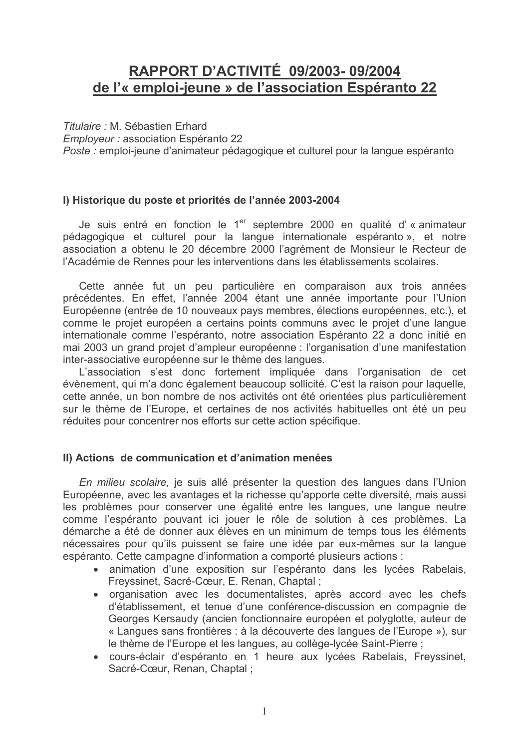# RAPPORT D'ACTIVITÉ 09/2003-09/2004 de l'« emploi-jeune » de l'association Espéranto 22

Titulaire : M. Sébastien Erhard

Employeur : association Espéranto 22

Poste : emploi-jeune d'animateur pédagogique et culturel pour la langue espéranto

## I) Historique du poste et priorités de l'année 2003-2004

Je suis entré en fonction le 1<sup>er</sup> septembre 2000 en qualité d'« animateur pédagogique et culturel pour la langue internationale espéranto », et notre association a obtenu le 20 décembre 2000 l'agrément de Monsieur le Recteur de l'Académie de Rennes pour les interventions dans les établissements scolaires.

Cette année fut un peu particulière en comparaison aux trois années précédentes. En effet, l'année 2004 étant une année importante pour l'Union Européenne (entrée de 10 nouveaux pays membres, élections européennes, etc.), et comme le projet européen a certains points communs avec le projet d'une langue internationale comme l'espéranto, notre association Espéranto 22 a donc initié en mai 2003 un grand projet d'ampleur européenne : l'organisation d'une manifestation inter-associative européenne sur le thème des langues.

L'association s'est donc fortement impliquée dans l'organisation de cet évènement, qui m'a donc également beaucoup sollicité. C'est la raison pour laquelle, cette année, un bon nombre de nos activités ont été orientées plus particulièrement sur le thème de l'Europe, et certaines de nos activités habituelles ont été un peu réduites pour concentrer nos efforts sur cette action spécifique.

### II) Actions de communication et d'animation menées

En milieu scolaire, je suis allé présenter la question des langues dans l'Union Européenne, avec les avantages et la richesse qu'apporte cette diversité, mais aussi les problèmes pour conserver une égalité entre les langues, une langue neutre comme l'espéranto pouvant ici jouer le rôle de solution à ces problèmes. La démarche a été de donner aux élèves en un minimum de temps tous les éléments nécessaires pour qu'ils puissent se faire une idée par eux-mêmes sur la langue espéranto. Cette campagne d'information a comporté plusieurs actions :

- · animation d'une exposition sur l'espéranto dans les lycées Rabelais. Freyssinet, Sacré-Cœur, E. Renan, Chaptal;
- organisation avec les documentalistes, après accord avec les chefs d'établissement, et tenue d'une conférence-discussion en compagnie de Georges Kersaudy (ancien fonctionnaire européen et polyglotte, auteur de « Langues sans frontières : à la découverte des langues de l'Europe »), sur le thème de l'Europe et les langues, au collège-lycée Saint-Pierre ;
- cours-éclair d'espéranto en 1 heure aux lycées Rabelais, Freyssinet, Sacré-Cœur, Renan, Chaptal ;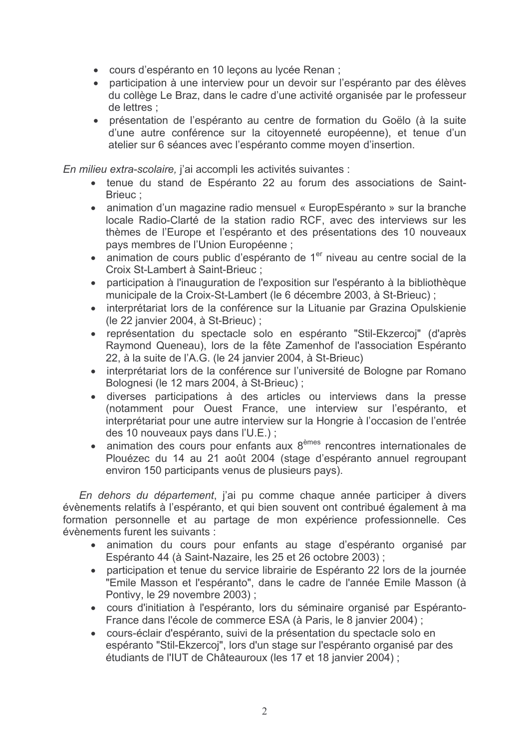- · cours d'espéranto en 10 leçons au lycée Renan ;
- participation à une interview pour un devoir sur l'espéranto par des élèves du collège Le Braz, dans le cadre d'une activité organisée par le professeur de lettres;
- présentation de l'espéranto au centre de formation du Goëlo (à la suite d'une autre conférence sur la citoyenneté européenne), et tenue d'un atelier sur 6 séances avec l'espéranto comme moyen d'insertion.

En milieu extra-scolaire, j'ai accompli les activités suivantes :

- tenue du stand de Espéranto 22 au forum des associations de Saint-Brieuc:
- animation d'un magazine radio mensuel « EuropEspéranto » sur la branche locale Radio-Clarté de la station radio RCF, avec des interviews sur les thèmes de l'Europe et l'espéranto et des présentations des 10 nouveaux pays membres de l'Union Européenne ;
- animation de cours public d'espéranto de 1<sup>er</sup> niveau au centre social de la Croix St-Lambert à Saint-Brieuc :
- participation à l'inauguration de l'exposition sur l'espéranto à la bibliothèque municipale de la Croix-St-Lambert (le 6 décembre 2003, à St-Brieuc);
- interprétariat lors de la conférence sur la Lituanie par Grazina Opulskienie (le 22 janvier 2004, à St-Brieuc) ;
- représentation du spectacle solo en espéranto "Stil-Ekzercoj" (d'après Raymond Queneau), lors de la fête Zamenhof de l'association Espéranto 22, à la suite de l'A.G. (le 24 janvier 2004, à St-Brieuc)
- interprétariat lors de la conférence sur l'université de Bologne par Romano Bolognesi (le 12 mars 2004, à St-Brieuc);
- · diverses participations à des articles ou interviews dans la presse (notamment pour Ouest France, une interview sur l'espéranto, et interprétariat pour une autre interview sur la Hongrie à l'occasion de l'entrée des 10 nouveaux pays dans l'U.E.) ;
- animation des cours pour enfants aux 8<sup>èmes</sup> rencontres internationales de Plouézec du 14 au 21 août 2004 (stage d'espéranto annuel regroupant environ 150 participants venus de plusieurs pays).

En dehors du département, j'ai pu comme chaque année participer à divers évènements relatifs à l'espéranto, et qui bien souvent ont contribué également à ma formation personnelle et au partage de mon expérience professionnelle. Ces évènements furent les suivants :

- · animation du cours pour enfants au stage d'espéranto organisé par Espéranto 44 (à Saint-Nazaire, les 25 et 26 octobre 2003);
- participation et tenue du service librairie de Espéranto 22 lors de la journée "Emile Masson et l'espéranto", dans le cadre de l'année Emile Masson (à Pontivy, le 29 novembre 2003);
- cours d'initiation à l'espéranto, lors du séminaire organisé par Espéranto-France dans l'école de commerce ESA (à Paris, le 8 janvier 2004) ;
- cours-éclair d'espéranto, suivi de la présentation du spectacle solo en espéranto "Stil-Ekzercoj", lors d'un stage sur l'espéranto organisé par des étudiants de l'IUT de Châteauroux (les 17 et 18 janvier 2004) ;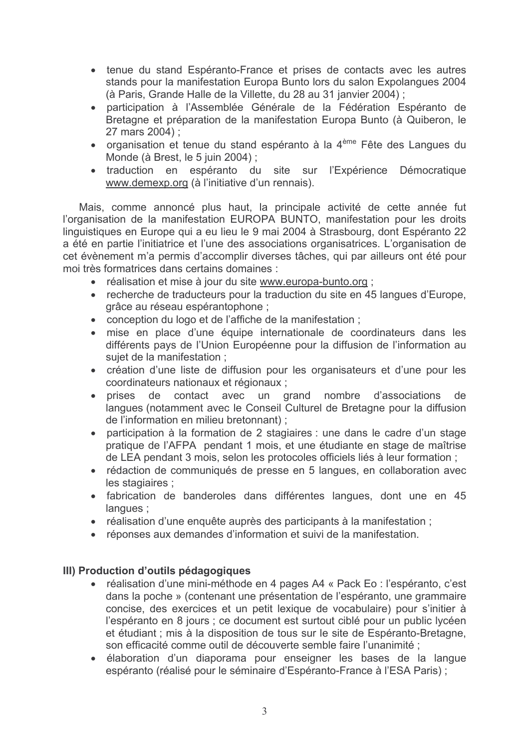- tenue du stand Espéranto-France et prises de contacts avec les autres stands pour la manifestation Europa Bunto lors du salon Expolangues 2004 (à Paris, Grande Halle de la Villette, du 28 au 31 janvier 2004) ;
- · participation à l'Assemblée Générale de la Fédération Espéranto de Bretagne et préparation de la manifestation Europa Bunto (à Quiberon, le 27 mars 2004) :
- organisation et tenue du stand espéranto à la 4<sup>ème</sup> Fête des Langues du Monde (à Brest, le 5 juin 2004);
- · traduction en espéranto du site sur l'Expérience Démocratique www.demexp.org (à l'initiative d'un rennais).

Mais, comme annoncé plus haut, la principale activité de cette année fut l'organisation de la manifestation EUROPA BUNTO, manifestation pour les droits linguistiques en Europe qui a eu lieu le 9 mai 2004 à Strasbourg, dont Espéranto 22 a été en partie l'initiatrice et l'une des associations organisatrices. L'organisation de cet évènement m'a permis d'accomplir diverses tâches, qui par ailleurs ont été pour moi très formatrices dans certains domaines :

- réalisation et mise à jour du site www.europa-bunto.org ;
- recherche de traducteurs pour la traduction du site en 45 langues d'Europe, grâce au réseau espérantophone :
- conception du logo et de l'affiche de la manifestation ;
- · mise en place d'une équipe internationale de coordinateurs dans les différents pays de l'Union Européenne pour la diffusion de l'information au sujet de la manifestation :
- création d'une liste de diffusion pour les organisateurs et d'une pour les coordinateurs nationaux et régionaux ;
- prises de contact avec un grand nombre d'associations de langues (notamment avec le Conseil Culturel de Bretagne pour la diffusion de l'information en milieu bretonnant);
- participation à la formation de 2 stagiaires : une dans le cadre d'un stage pratique de l'AFPA pendant 1 mois, et une étudiante en stage de maîtrise de LEA pendant 3 mois, selon les protocoles officiels liés à leur formation;
- · rédaction de communiqués de presse en 5 langues, en collaboration avec les stagiaires ;
- · fabrication de banderoles dans différentes langues, dont une en 45 langues;
- réalisation d'une enquête auprès des participants à la manifestation ;
- réponses aux demandes d'information et suivi de la manifestation.

## III) Production d'outils pédagogiques

- réalisation d'une mini-méthode en 4 pages A4 « Pack Eo : l'espéranto, c'est dans la poche » (contenant une présentation de l'espéranto, une grammaire concise, des exercices et un petit lexique de vocabulaire) pour s'initier à l'espéranto en 8 jours : ce document est surtout ciblé pour un public lycéen et étudiant ; mis à la disposition de tous sur le site de Espéranto-Bretagne, son efficacité comme outil de découverte semble faire l'unanimité ;
- · élaboration d'un diaporama pour enseigner les bases de la langue espéranto (réalisé pour le séminaire d'Espéranto-France à l'ESA Paris);